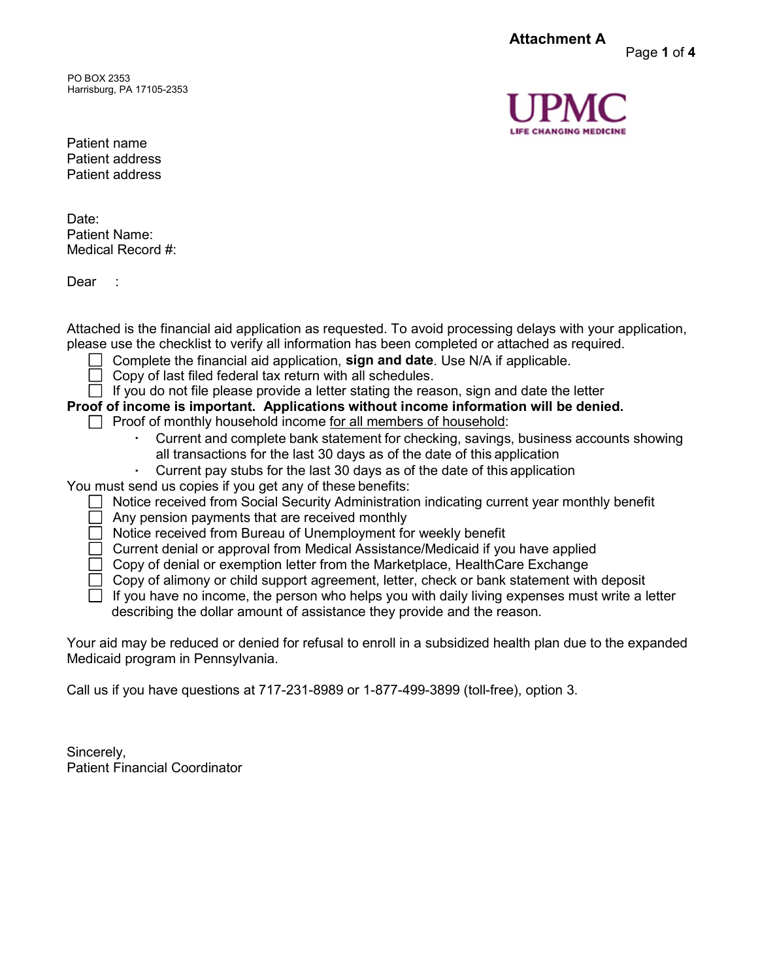Attachment A

PO BOX 2353 Harrisburg, PA 17105-2353



Page 1 of 4

Patient name Patient address Patient address

Date: Patient Name: Medical Record #:

Dear ·

Attached is the financial aid application as requested. To avoid processing delays with your application, please use the checklist to verify all information has been completed or attached as required.

- Complete the financial aid application, sign and date. Use N/A if applicable.
	- Copy of last filed federal tax return with all schedules.
- $\Box$  If you do not file please provide a letter stating the reason, sign and date the letter
- Proof of income is important. Applications without income information will be denied.
	- $\Box$  Proof of monthly household income for all members of household:
		- · Current and complete bank statement for checking, savings, business accounts showing all transactions for the last 30 days as of the date of this application<br>Current pay stubs for the last 30 days as of the date of this application
		-

You must send us copies if you get any of these benefits:

- Notice received from Social Security Administration indicating current year monthly benefit
	- Any pension payments that are received monthly
	- ◯ Notice received from Bureau of Unemployment for weekly benefit
	- $\Box$  Current denial or approval from Medical Assistance/Medicaid if you have applied
	- $\Box$  Copy of denial or exemption letter from the Marketplace, HealthCare Exchange
	- $\Box$  Copy of alimony or child support agreement, letter, check or bank statement with deposit
	- $\Box$  If you have no income, the person who helps you with daily living expenses must write a letter describing the dollar amount of assistance they provide and the reason.

Your aid may be reduced or denied for refusal to enroll in a subsidized health plan due to the expanded Medicaid program in Pennsylvania.

Call us if you have questions at 717-231-8989 or 1-877-499-3899 (toll-free), option 3.

Sincerely, Patient Financial Coordinator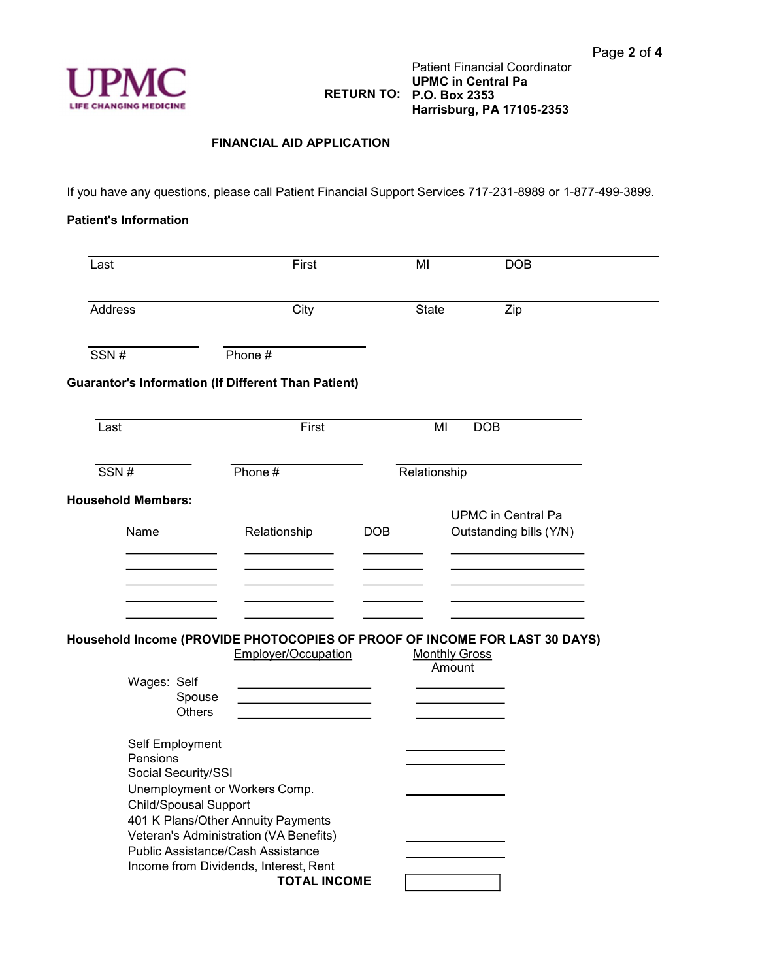

## FINANCIAL AID APPLICATION

If you have any questions, please call Patient Financial Support Services 717-231-8989 or 1-877-499-3899.

## Patient's Information

| Last                                                                                      | First                                                                                                  | MI           | <b>DOB</b>                                           |  |  |
|-------------------------------------------------------------------------------------------|--------------------------------------------------------------------------------------------------------|--------------|------------------------------------------------------|--|--|
| Address                                                                                   | City                                                                                                   | State        | Zip                                                  |  |  |
| SSN#                                                                                      | Phone #                                                                                                |              |                                                      |  |  |
| <b>Guarantor's Information (If Different Than Patient)</b>                                |                                                                                                        |              |                                                      |  |  |
| Last                                                                                      | First                                                                                                  | ΜI           | <b>DOB</b>                                           |  |  |
| SSN#                                                                                      | Phone #                                                                                                | Relationship |                                                      |  |  |
| <b>Household Members:</b><br>Name                                                         | Relationship                                                                                           | <b>DOB</b>   | <b>UPMC</b> in Central Pa<br>Outstanding bills (Y/N) |  |  |
|                                                                                           |                                                                                                        |              |                                                      |  |  |
| Household Income (PROVIDE PHOTOCOPIES OF PROOF OF INCOME FOR LAST 30 DAYS)<br>Wages: Self | Employer/Occupation                                                                                    |              | <b>Monthly Gross</b><br>Amount                       |  |  |
| Spouse<br><b>Others</b>                                                                   |                                                                                                        |              |                                                      |  |  |
| Self Employment<br>Pensions<br>Social Security/SSI                                        |                                                                                                        |              |                                                      |  |  |
| Unemployment or Workers Comp.<br><b>Child/Spousal Support</b>                             | 401 K Plans/Other Annuity Payments                                                                     |              |                                                      |  |  |
| Public Assistance/Cash Assistance                                                         | Veteran's Administration (VA Benefits)<br>Income from Dividends, Interest, Rent<br><b>TOTAL INCOME</b> |              |                                                      |  |  |